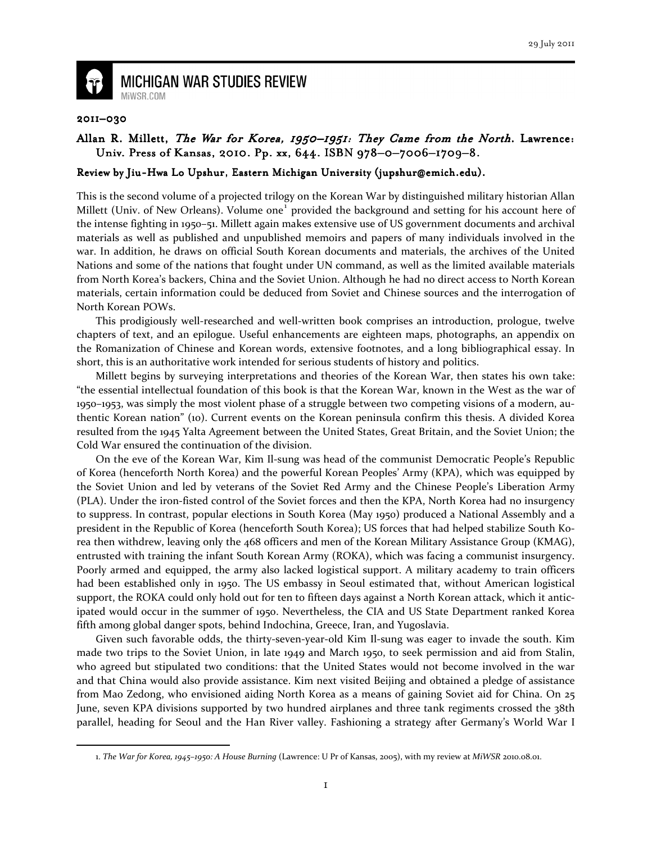

**MICHIGAN WAR STUDIES REVIEW** MiWSR.COM

## 2011–030

 $\overline{\phantom{0}}$ 

## Allan R. Millett, The War for Korea, 1950–1951: They Came from the North. Lawrence: Univ. Press of Kansas, 2010. Pp. xx, 644. ISBN 978-0-7006-1709-8.

## Review by Jiu-Hwa Lo Upshur, Eastern Michigan University (jupshur@emich.edu).

This is the second volume of a projected trilogy on the Korean War by distinguished military historian Allan Millett (Univ. of New Orleans). Volume one<sup>1</sup> provided the background and setting for his account here of the intense fighting in 1950–51. Millett again makes extensive use of US government documents and archival materials as well as published and unpublished memoirs and papers of many individuals involved in the war. In addition, he draws on official South Korean documents and materials, the archives of the United Nations and some of the nations that fought under UN command, as well as the limited available materials from North Korea's backers, China and the Soviet Union. Although he had no direct access to North Korean materials, certain information could be deduced from Soviet and Chinese sources and the interrogation of North Korean POWs.

This prodigiously well-researched and well-written book comprises an introduction, prologue, twelve chapters of text, and an epilogue. Useful enhancements are eighteen maps, photographs, an appendix on the Romanization of Chinese and Korean words, extensive footnotes, and a long bibliographical essay. In short, this is an authoritative work intended for serious students of history and politics.

Millett begins by surveying interpretations and theories of the Korean War, then states his own take: "the essential intellectual foundation of this book is that the Korean War, known in the West as the war of 1950–1953, was simply the most violent phase of a struggle between two competing visions of a modern, authentic Korean nation" (10). Current events on the Korean peninsula confirm this thesis. A divided Korea resulted from the 1945 Yalta Agreement between the United States, Great Britain, and the Soviet Union; the Cold War ensured the continuation of the division.

On the eve of the Korean War, Kim Il-sung was head of the communist Democratic People's Republic of Korea (henceforth North Korea) and the powerful Korean Peoples' Army (KPA), which was equipped by the Soviet Union and led by veterans of the Soviet Red Army and the Chinese People's Liberation Army (PLA). Under the iron-fisted control of the Soviet forces and then the KPA, North Korea had no insurgency to suppress. In contrast, popular elections in South Korea (May 1950) produced a National Assembly and a president in the Republic of Korea (henceforth South Korea); US forces that had helped stabilize South Korea then withdrew, leaving only the 468 officers and men of the Korean Military Assistance Group (KMAG), entrusted with training the infant South Korean Army (ROKA), which was facing a communist insurgency. Poorly armed and equipped, the army also lacked logistical support. A military academy to train officers had been established only in 1950. The US embassy in Seoul estimated that, without American logistical support, the ROKA could only hold out for ten to fifteen days against a North Korean attack, which it anticipated would occur in the summer of 1950. Nevertheless, the CIA and US State Department ranked Korea fifth among global danger spots, behind Indochina, Greece, Iran, and Yugoslavia.

Given such favorable odds, the thirty-seven-year-old Kim Il-sung was eager to invade the south. Kim made two trips to the Soviet Union, in late 1949 and March 1950, to seek permission and aid from Stalin, who agreed but stipulated two conditions: that the United States would not become involved in the war and that China would also provide assistance. Kim next visited Beijing and obtained a pledge of assistance from Mao Zedong, who envisioned aiding North Korea as a means of gaining Soviet aid for China. On 25 June, seven KPA divisions supported by two hundred airplanes and three tank regiments crossed the 38th parallel, heading for Seoul and the Han River valley. Fashioning a strategy after Germany's World War I

<sup>1.</sup> The War for Korea, 1945–1950: A House Burning (Lawrence: U Pr of Kansas, 2005), with my review at MiWSR 2010.08.01.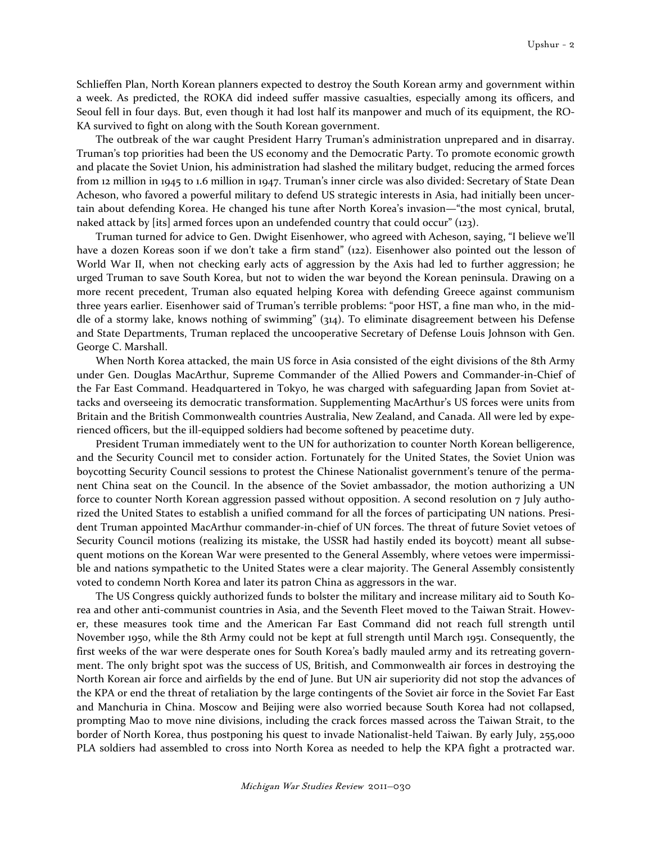Schlieffen Plan, North Korean planners expected to destroy the South Korean army and government within a week. As predicted, the ROKA did indeed suffer massive casualties, especially among its officers, and Seoul fell in four days. But, even though it had lost half its manpower and much of its equipment, the RO-KA survived to fight on along with the South Korean government.

The outbreak of the war caught President Harry Truman's administration unprepared and in disarray. Truman's top priorities had been the US economy and the Democratic Party. To promote economic growth and placate the Soviet Union, his administration had slashed the military budget, reducing the armed forces from 12 million in 1945 to 1.6 million in 1947. Truman's inner circle was also divided: Secretary of State Dean Acheson, who favored a powerful military to defend US strategic interests in Asia, had initially been uncertain about defending Korea. He changed his tune after North Korea's invasion—"the most cynical, brutal, naked attack by [its] armed forces upon an undefended country that could occur" (123).

Truman turned for advice to Gen. Dwight Eisenhower, who agreed with Acheson, saying, "I believe we'll have a dozen Koreas soon if we don't take a firm stand" (122). Eisenhower also pointed out the lesson of World War II, when not checking early acts of aggression by the Axis had led to further aggression; he urged Truman to save South Korea, but not to widen the war beyond the Korean peninsula. Drawing on a more recent precedent, Truman also equated helping Korea with defending Greece against communism three years earlier. Eisenhower said of Truman's terrible problems: "poor HST, a fine man who, in the middle of a stormy lake, knows nothing of swimming" (314). To eliminate disagreement between his Defense and State Departments, Truman replaced the uncooperative Secretary of Defense Louis Johnson with Gen. George C. Marshall.

When North Korea attacked, the main US force in Asia consisted of the eight divisions of the 8th Army under Gen. Douglas MacArthur, Supreme Commander of the Allied Powers and Commander-in-Chief of the Far East Command. Headquartered in Tokyo, he was charged with safeguarding Japan from Soviet attacks and overseeing its democratic transformation. Supplementing MacArthur's US forces were units from Britain and the British Commonwealth countries Australia, New Zealand, and Canada. All were led by experienced officers, but the ill-equipped soldiers had become softened by peacetime duty.

President Truman immediately went to the UN for authorization to counter North Korean belligerence, and the Security Council met to consider action. Fortunately for the United States, the Soviet Union was boycotting Security Council sessions to protest the Chinese Nationalist government's tenure of the permanent China seat on the Council. In the absence of the Soviet ambassador, the motion authorizing a UN force to counter North Korean aggression passed without opposition. A second resolution on 7 July authorized the United States to establish a unified command for all the forces of participating UN nations. President Truman appointed MacArthur commander-in-chief of UN forces. The threat of future Soviet vetoes of Security Council motions (realizing its mistake, the USSR had hastily ended its boycott) meant all subsequent motions on the Korean War were presented to the General Assembly, where vetoes were impermissible and nations sympathetic to the United States were a clear majority. The General Assembly consistently voted to condemn North Korea and later its patron China as aggressors in the war.

The US Congress quickly authorized funds to bolster the military and increase military aid to South Korea and other anti-communist countries in Asia, and the Seventh Fleet moved to the Taiwan Strait. However, these measures took time and the American Far East Command did not reach full strength until November 1950, while the 8th Army could not be kept at full strength until March 1951. Consequently, the first weeks of the war were desperate ones for South Korea's badly mauled army and its retreating government. The only bright spot was the success of US, British, and Commonwealth air forces in destroying the North Korean air force and airfields by the end of June. But UN air superiority did not stop the advances of the KPA or end the threat of retaliation by the large contingents of the Soviet air force in the Soviet Far East and Manchuria in China. Moscow and Beijing were also worried because South Korea had not collapsed, prompting Mao to move nine divisions, including the crack forces massed across the Taiwan Strait, to the border of North Korea, thus postponing his quest to invade Nationalist-held Taiwan. By early July, 255,000 PLA soldiers had assembled to cross into North Korea as needed to help the KPA fight a protracted war.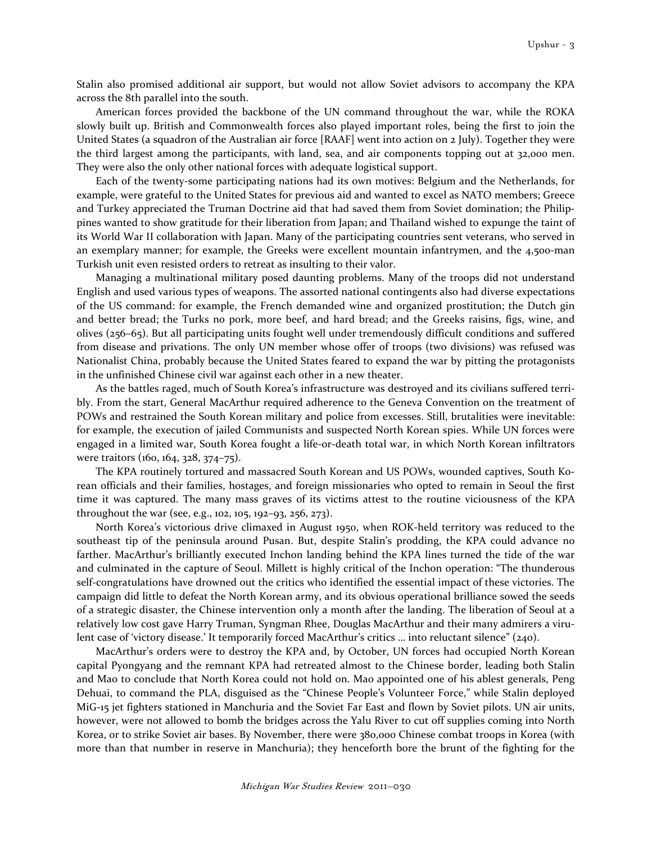Stalin also promised additional air support, but would not allow Soviet advisors to accompany the KPA across the 8th parallel into the south.

American forces provided the backbone of the UN command throughout the war, while the ROKA slowly built up. British and Commonwealth forces also played important roles, being the first to join the United States (a squadron of the Australian air force [RAAF] went into action on 2 July). Together they were the third largest among the participants, with land, sea, and air components topping out at 32,000 men. They were also the only other national forces with adequate logistical support.

Each of the twenty-some participating nations had its own motives: Belgium and the Netherlands, for example, were grateful to the United States for previous aid and wanted to excel as NATO members; Greece and Turkey appreciated the Truman Doctrine aid that had saved them from Soviet domination; the Philippines wanted to show gratitude for their liberation from Japan; and Thailand wished to expunge the taint of its World War II collaboration with Japan. Many of the participating countries sent veterans, who served in an exemplary manner; for example, the Greeks were excellent mountain infantrymen, and the 4,500-man Turkish unit even resisted orders to retreat as insulting to their valor.

Managing a multinational military posed daunting problems. Many of the troops did not understand English and used various types of weapons. The assorted national contingents also had diverse expectations of the US command: for example, the French demanded wine and organized prostitution; the Dutch gin and better bread; the Turks no pork, more beef, and hard bread; and the Greeks raisins, figs, wine, and olives (256–65). But all participating units fought well under tremendously difficult conditions and suffered from disease and privations. The only UN member whose offer of troops (two divisions) was refused was Nationalist China, probably because the United States feared to expand the war by pitting the protagonists in the unfinished Chinese civil war against each other in a new theater.

As the battles raged, much of South Korea's infrastructure was destroyed and its civilians suffered terribly. From the start, General MacArthur required adherence to the Geneva Convention on the treatment of POWs and restrained the South Korean military and police from excesses. Still, brutalities were inevitable: for example, the execution of jailed Communists and suspected North Korean spies. While UN forces were engaged in a limited war, South Korea fought a life-or-death total war, in which North Korean infiltrators were traitors (160, 164, 328, 374–75).

The KPA routinely tortured and massacred South Korean and US POWs, wounded captives, South Korean officials and their families, hostages, and foreign missionaries who opted to remain in Seoul the first time it was captured. The many mass graves of its victims attest to the routine viciousness of the KPA throughout the war (see, e.g., 102, 105, 192–93, 256, 273).

North Korea's victorious drive climaxed in August 1950, when ROK-held territory was reduced to the southeast tip of the peninsula around Pusan. But, despite Stalin's prodding, the KPA could advance no farther. MacArthur's brilliantly executed Inchon landing behind the KPA lines turned the tide of the war and culminated in the capture of Seoul. Millett is highly critical of the Inchon operation: "The thunderous self-congratulations have drowned out the critics who identified the essential impact of these victories. The campaign did little to defeat the North Korean army, and its obvious operational brilliance sowed the seeds of a strategic disaster, the Chinese intervention only a month after the landing. The liberation of Seoul at a relatively low cost gave Harry Truman, Syngman Rhee, Douglas MacArthur and their many admirers a virulent case of 'victory disease.' It temporarily forced MacArthur's critics … into reluctant silence" (240).

MacArthur's orders were to destroy the KPA and, by October, UN forces had occupied North Korean capital Pyongyang and the remnant KPA had retreated almost to the Chinese border, leading both Stalin and Mao to conclude that North Korea could not hold on. Mao appointed one of his ablest generals, Peng Dehuai, to command the PLA, disguised as the "Chinese People's Volunteer Force," while Stalin deployed MiG-15 jet fighters stationed in Manchuria and the Soviet Far East and flown by Soviet pilots. UN air units, however, were not allowed to bomb the bridges across the Yalu River to cut off supplies coming into North Korea, or to strike Soviet air bases. By November, there were 380,000 Chinese combat troops in Korea (with more than that number in reserve in Manchuria); they henceforth bore the brunt of the fighting for the